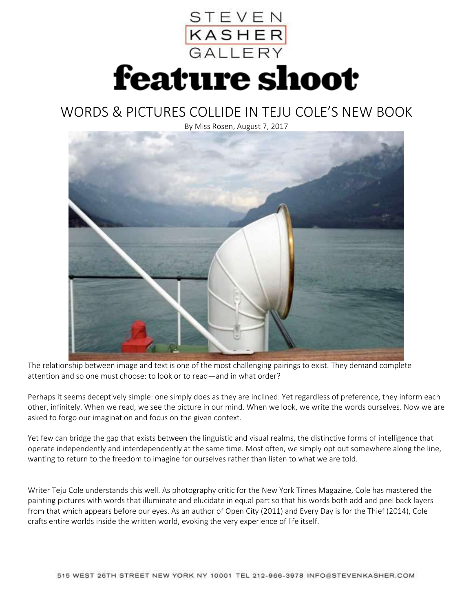

## WORDS & PICTURES COLLIDE IN TEJU COLE'S NEW BOOK

By Miss Rosen, August 7, 2017



The relationship between image and text is one of the most challenging pairings to exist. They demand complete attention and so one must choose: to look or to read—and in what order?

Perhaps it seems deceptively simple: one simply does as they are inclined. Yet regardless of preference, they inform each other, infinitely. When we read, we see the picture in our mind. When we look, we write the words ourselves. Now we are asked to forgo our imagination and focus on the given context.

Yet few can bridge the gap that exists between the linguistic and visual realms, the distinctive forms of intelligence that operate independently and interdependently at the same time. Most often, we simply opt out somewhere along the line, wanting to return to the freedom to imagine for ourselves rather than listen to what we are told.

Writer Teju Cole understands this well. As photography critic for the New York Times Magazine, Cole has mastered the painting pictures with words that illuminate and elucidate in equal part so that his words both add and peel back layers from that which appears before our eyes. As an author of Open City (2011) and Every Day is for the Thief (2014), Cole crafts entire worlds inside the written world, evoking the very experience of life itself.